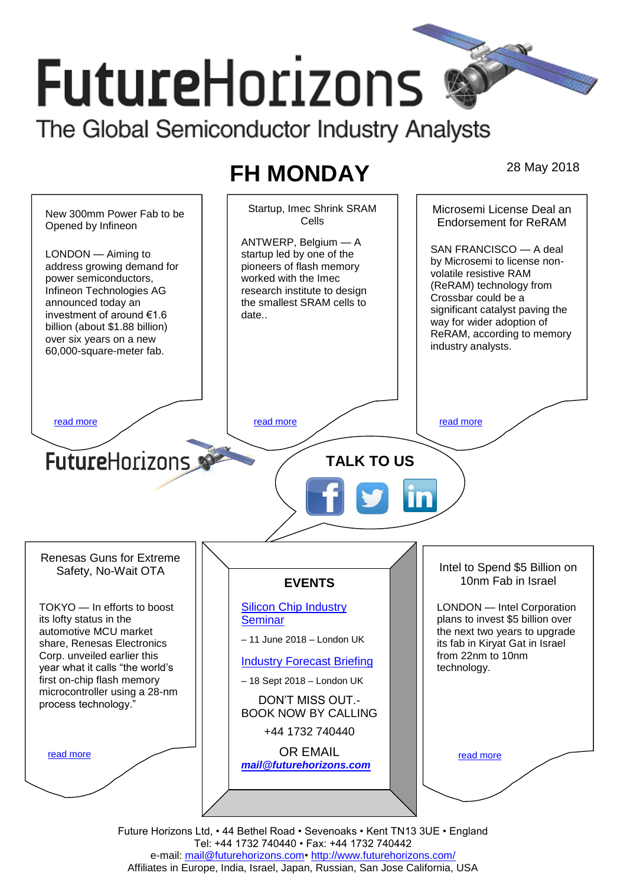# **FutureHorizons** The Global Semiconductor Industry Analysts

# **FH MONDAY** 28 May 2018



Future Horizons Ltd, • 44 Bethel Road • Sevenoaks • Kent TN13 3UE • England Tel: +44 1732 740440 • Fax: +44 1732 740442 e-mail: mail@futurehorizons.com• http://www.futurehorizons.com/ Affiliates in Europe, India, Israel, Japan, Russian, San Jose California, USA